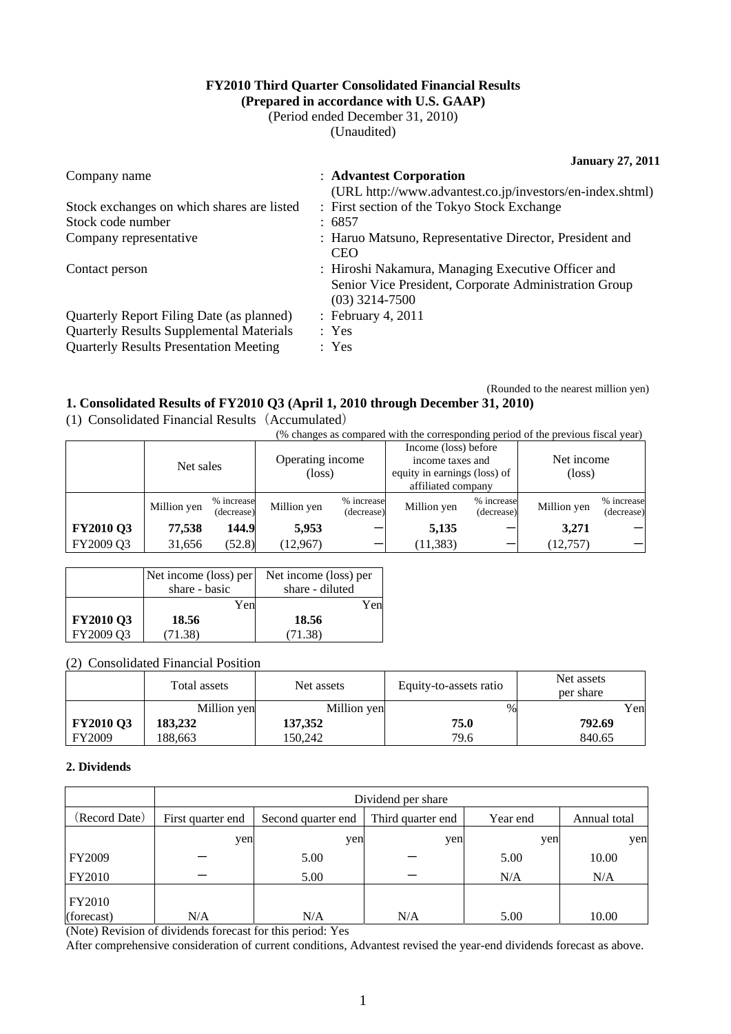# **FY2010 Third Quarter Consolidated Financial Results**

**(Prepared in accordance with U.S. GAAP)**  (Period ended December 31, 2010)

(Unaudited)

**January 27, 2011** 

(Rounded to the nearest million yen)

| Company name                                    | : Advantest Corporation                                                                                                         |
|-------------------------------------------------|---------------------------------------------------------------------------------------------------------------------------------|
|                                                 | (URL http://www.advantest.co.jp/investors/en-index.shtml)                                                                       |
| Stock exchanges on which shares are listed      | : First section of the Tokyo Stock Exchange                                                                                     |
| Stock code number                               | : 6857                                                                                                                          |
| Company representative                          | : Haruo Matsuno, Representative Director, President and<br><b>CEO</b>                                                           |
| Contact person                                  | : Hiroshi Nakamura, Managing Executive Officer and<br>Senior Vice President, Corporate Administration Group<br>$(03)$ 3214-7500 |
| Quarterly Report Filing Date (as planned)       | : February 4, 2011                                                                                                              |
| <b>Quarterly Results Supplemental Materials</b> | : Yes                                                                                                                           |
| <b>Quarterly Results Presentation Meeting</b>   | : Yes                                                                                                                           |

### **1. Consolidated Results of FY2010 Q3 (April 1, 2010 through December 31, 2010)**

(1) Consolidated Financial Results(Accumulated)

(% changes as compared with the corresponding period of the previous fiscal year)

|                  | Net sales   |                          | Operating income<br>$(\text{loss})$ |                          | Income (loss) before<br>income taxes and<br>equity in earnings (loss) of<br>affiliated company |                          | Net income<br>$(\text{loss})$ |                          |
|------------------|-------------|--------------------------|-------------------------------------|--------------------------|------------------------------------------------------------------------------------------------|--------------------------|-------------------------------|--------------------------|
|                  | Million yen | % increase<br>(decrease) | Million yen                         | % increase<br>(decrease) | Million yen                                                                                    | % increase<br>(decrease) | Million yen                   | % increase<br>(decrease) |
| <b>FY2010 Q3</b> | 77,538      | 144.9                    | 5,953                               |                          | 5,135                                                                                          |                          | 3,271                         |                          |
| FY2009 Q3        | 31,656      | (52.8)                   | (12,967)                            |                          | (11, 383)                                                                                      |                          | (12,757)                      |                          |

|                  | Net income (loss) per | Net income (loss) per |  |  |
|------------------|-----------------------|-----------------------|--|--|
|                  | share - basic         | share - diluted       |  |  |
|                  | Yen                   | Yen                   |  |  |
| <b>FY2010 Q3</b> | 18.56                 | 18.56                 |  |  |
| FY2009 Q3        | 71.38)                | (71.38)               |  |  |

#### (2) Consolidated Financial Position

|                  | Total assets | Net assets  | Equity-to-assets ratio | Net assets<br>per share |
|------------------|--------------|-------------|------------------------|-------------------------|
|                  | Million yen  | Million yen | $\%$                   | Yen                     |
| <b>FY2010 Q3</b> | 183,232      | 137,352     | 75.0                   | 792.69                  |
| <b>FY2009</b>    | 188.663      | 150.242     | 79.6                   | 840.65                  |

#### **2. Dividends**

|                                                                | Dividend per share |                    |                   |          |              |  |  |
|----------------------------------------------------------------|--------------------|--------------------|-------------------|----------|--------------|--|--|
| (Record Date)                                                  | First quarter end  | Second quarter end | Third quarter end | Year end | Annual total |  |  |
|                                                                | yen                | yen                | yen               | yen      | yen          |  |  |
| <b>FY2009</b>                                                  |                    | 5.00               |                   | 5.00     | 10.00        |  |  |
| FY2010                                                         |                    | 5.00               |                   | N/A      | N/A          |  |  |
| FY2010                                                         |                    |                    |                   |          |              |  |  |
| (forecast)<br>$\sim$ $\sim$ $\sim$ $\sim$ $\sim$ $\sim$ $\sim$ | N/A                | N/A<br>.<br>.      | N/A               | 5.00     | 10.00        |  |  |

(Note) Revision of dividends forecast for this period: Yes

After comprehensive consideration of current conditions, Advantest revised the year-end dividends forecast as above.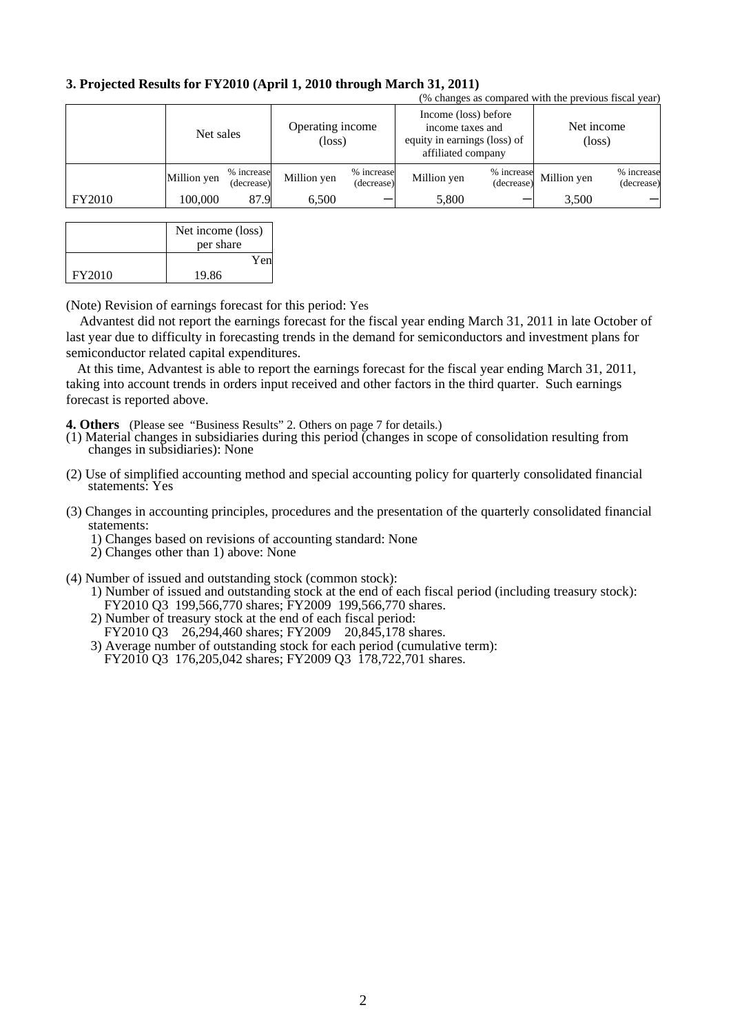# **3. Projected Results for FY2010 (April 1, 2010 through March 31, 2011)**

|               | (% changes as compared with the previous fiscal year) |                          |                                     |                          |                                                                                                |                          |                               |                          |
|---------------|-------------------------------------------------------|--------------------------|-------------------------------------|--------------------------|------------------------------------------------------------------------------------------------|--------------------------|-------------------------------|--------------------------|
|               | Net sales                                             |                          | Operating income<br>$(\text{loss})$ |                          | Income (loss) before<br>income taxes and<br>equity in earnings (loss) of<br>affiliated company |                          | Net income<br>$(\text{loss})$ |                          |
|               | Million yen                                           | % increase<br>(decrease) | Million yen                         | % increase<br>(decrease) | Million yen                                                                                    | % increase<br>(decrease) | Million yen                   | % increase<br>(decrease) |
| <b>FY2010</b> | 100,000                                               | 87.9                     | 6,500                               |                          | 5,800                                                                                          |                          | 3,500                         |                          |

|               | Net income (loss) |
|---------------|-------------------|
|               | per share         |
|               | Yen               |
| <b>FY2010</b> | 19.86             |

(Note) Revision of earnings forecast for this period: Yes

Advantest did not report the earnings forecast for the fiscal year ending March 31, 2011 in late October of last year due to difficulty in forecasting trends in the demand for semiconductors and investment plans for semiconductor related capital expenditures.

At this time, Advantest is able to report the earnings forecast for the fiscal year ending March 31, 2011, taking into account trends in orders input received and other factors in the third quarter. Such earnings forecast is reported above.

**4. Others** (Please see "Business Results" 2. Others on page 7 for details.)

- (1) Material changes in subsidiaries during this period (changes in scope of consolidation resulting from changes in subsidiaries): None
- (2) Use of simplified accounting method and special accounting policy for quarterly consolidated financial statements: Yes
- (3) Changes in accounting principles, procedures and the presentation of the quarterly consolidated financial statements:
	- 1) Changes based on revisions of accounting standard: None
	- 2) Changes other than 1) above: None
- (4) Number of issued and outstanding stock (common stock):
	- 1) Number of issued and outstanding stock at the end of each fiscal period (including treasury stock): FY2010 Q3 199,566,770 shares; FY2009 199,566,770 shares.
	- 2) Number of treasury stock at the end of each fiscal period: FY2010 Q3 26,294,460 shares; FY2009 20,845,178 shares.
	- 3) Average number of outstanding stock for each period (cumulative term):
	- FY2010 Q3 176,205,042 shares; FY2009 Q3 178,722,701 shares.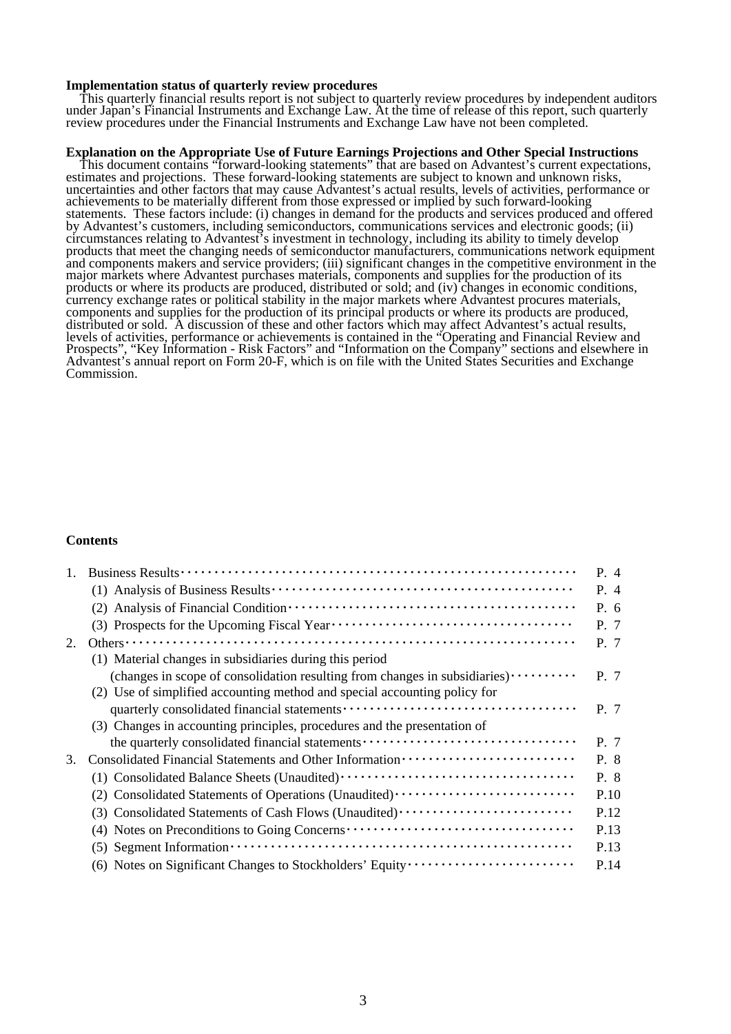#### **Implementation status of quarterly review procedures**

This quarterly financial results report is not subject to quarterly review procedures by independent auditors under Japan's Financial Instruments and Exchange Law. At the time of release of this report, such quarterly review procedures under the Financial Instruments and Exchange Law have not been completed.

#### **Explanation on the Appropriate Use of Future Earnings Projections and Other Special Instructions**

This document contains "forward-looking statements" that are based on Advantest's current expectations, estimates and projections. These forward-looking statements are subject to known and unknown risks, uncertainties and other factors that may cause Advantest's actual results, levels of activities, performance or achievements to be materially different from those expressed or implied by such forward-looking statements. These factors include: (i) changes in demand for the products and services produced and offered by Advantest's customers, including semiconductors, communications services and electronic goods; (ii) circumstances relating to Advantest's investment in technology, including its ability to timely develop products that meet the changing needs of semiconductor manufacturers, communications network equipment and components makers and service providers; (iii) significant changes in the competitive environment in the major markets where Advantest purchases materials, components and supplies for the production of its products or where its products are produced, distributed or sold; and (iv) changes in economic conditions, currency exchange rates or political stability in the major markets where Advantest procures materials, components and supplies for the production of its principal products or where its products are produced, distributed or sold. A discussion of these and other factors which may affect Advantest's actual results, levels of activities, performance or achievements is contained in the "Operating and Financial Review and Prospects", "Key Information - Risk Factors" and "Information on the Company" sections and elsewhere in Advantest's annual report on Form 20-F, which is on file with the United States Securities and Exchange Commission.

#### **Contents**

|    |                                                                                                                              | P. 4 |
|----|------------------------------------------------------------------------------------------------------------------------------|------|
|    |                                                                                                                              | P. 4 |
|    |                                                                                                                              | P. 6 |
|    |                                                                                                                              | P. 7 |
| 2. |                                                                                                                              | P. 7 |
|    | (1) Material changes in subsidiaries during this period                                                                      |      |
|    | (changes in scope of consolidation resulting from changes in subsidiaries) $\cdots$                                          | P. 7 |
|    | (2) Use of simplified accounting method and special accounting policy for                                                    |      |
|    |                                                                                                                              | P. 7 |
|    | (3) Changes in accounting principles, procedures and the presentation of                                                     |      |
|    | the quarterly consolidated financial statements                                                                              | P. 7 |
| 3. |                                                                                                                              | P. 8 |
|    |                                                                                                                              | P. 8 |
|    | (2) Consolidated Statements of Operations (Unaudited)                                                                        | P.10 |
|    | (3) Consolidated Statements of Cash Flows (Unaudited)                                                                        | P.12 |
|    |                                                                                                                              | P.13 |
|    | $(5)$ Segment Information $\cdots$ $\cdots$ $\cdots$ $\cdots$ $\cdots$ $\cdots$ $\cdots$ $\cdots$ $\cdots$ $\cdots$ $\cdots$ | P.13 |
|    | (6) Notes on Significant Changes to Stockholders' Equity                                                                     | P.14 |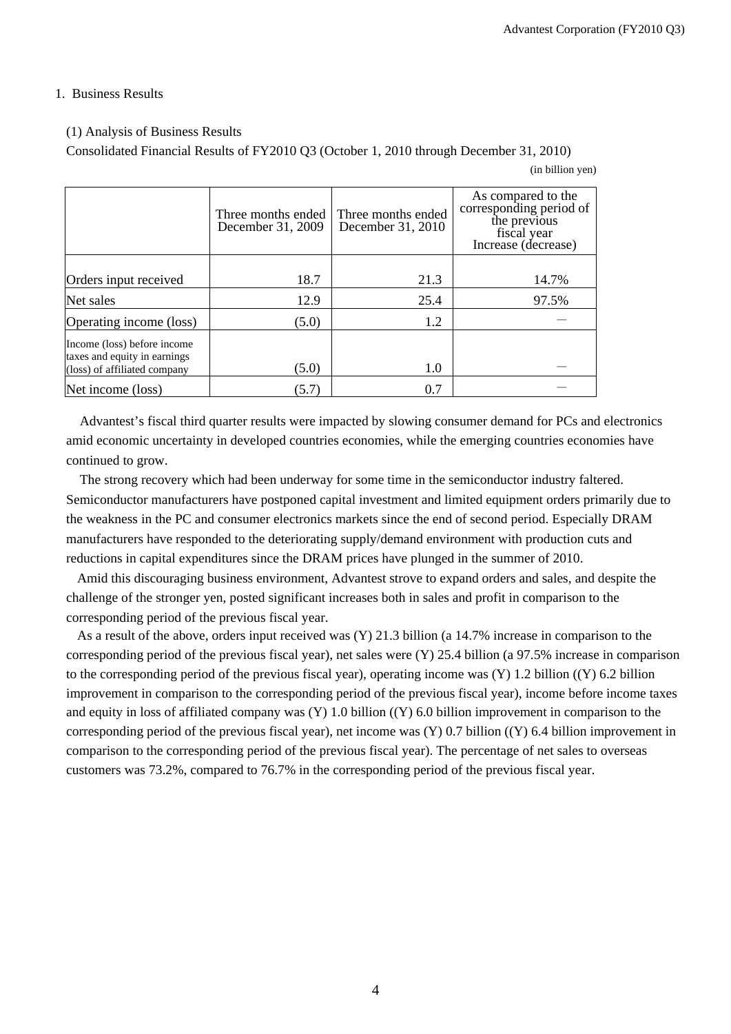#### 1. Business Results

### (1) Analysis of Business Results

Consolidated Financial Results of FY2010 Q3 (October 1, 2010 through December 31, 2010)

<sup>(</sup>in billion yen)

|                                                                                             | Three months ended<br>December 31, 2009 | Three months ended<br>December 31, 2010 | As compared to the<br>corresponding period of<br>the previous<br>fiscal year<br>Increase (decrease) |
|---------------------------------------------------------------------------------------------|-----------------------------------------|-----------------------------------------|-----------------------------------------------------------------------------------------------------|
| Orders input received                                                                       | 18.7                                    | 21.3                                    | 14.7%                                                                                               |
| Net sales                                                                                   | 12.9                                    | 25.4                                    | 97.5%                                                                                               |
| Operating income (loss)                                                                     | (5.0)                                   | 1.2                                     |                                                                                                     |
| Income (loss) before income<br>taxes and equity in earnings<br>(loss) of affiliated company | (5.0)                                   | 1.0                                     |                                                                                                     |
| Net income (loss)                                                                           | (5.7)                                   | 0.7                                     |                                                                                                     |

Advantest's fiscal third quarter results were impacted by slowing consumer demand for PCs and electronics amid economic uncertainty in developed countries economies, while the emerging countries economies have continued to grow.

The strong recovery which had been underway for some time in the semiconductor industry faltered. Semiconductor manufacturers have postponed capital investment and limited equipment orders primarily due to the weakness in the PC and consumer electronics markets since the end of second period. Especially DRAM manufacturers have responded to the deteriorating supply/demand environment with production cuts and reductions in capital expenditures since the DRAM prices have plunged in the summer of 2010.

Amid this discouraging business environment, Advantest strove to expand orders and sales, and despite the challenge of the stronger yen, posted significant increases both in sales and profit in comparison to the corresponding period of the previous fiscal year.

As a result of the above, orders input received was (Y) 21.3 billion (a 14.7% increase in comparison to the corresponding period of the previous fiscal year), net sales were (Y) 25.4 billion (a 97.5% increase in comparison to the corresponding period of the previous fiscal year), operating income was  $(Y)$  1.2 billion  $((Y)$  6.2 billion improvement in comparison to the corresponding period of the previous fiscal year), income before income taxes and equity in loss of affiliated company was (Y) 1.0 billion ((Y) 6.0 billion improvement in comparison to the corresponding period of the previous fiscal year), net income was (Y) 0.7 billion ((Y) 6.4 billion improvement in comparison to the corresponding period of the previous fiscal year). The percentage of net sales to overseas customers was 73.2%, compared to 76.7% in the corresponding period of the previous fiscal year.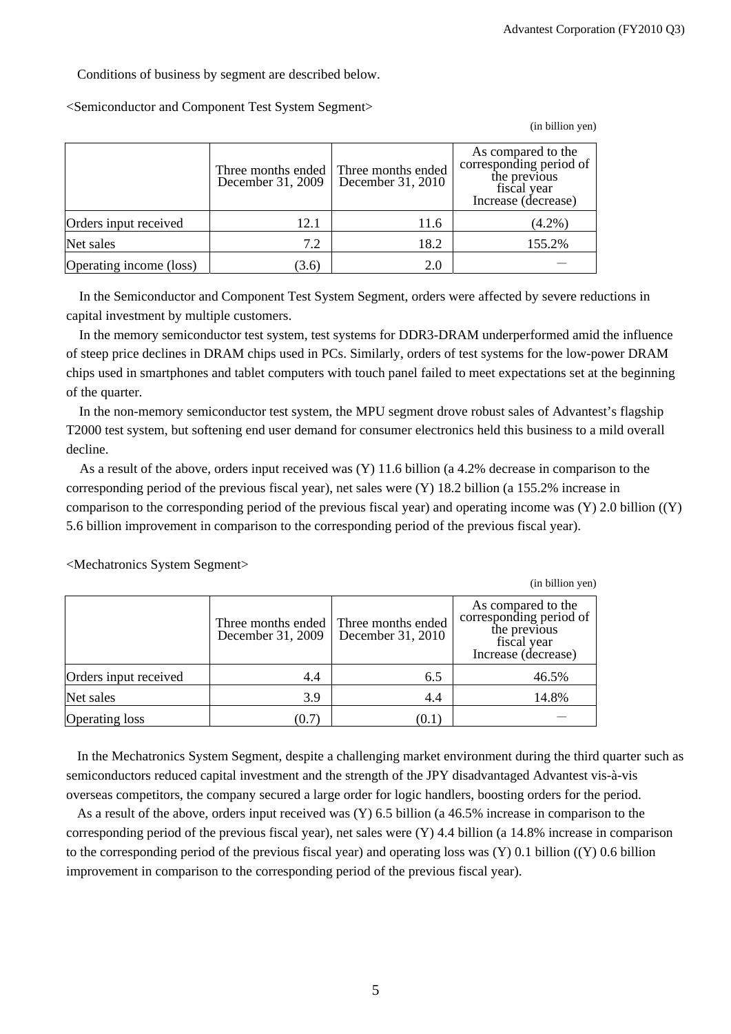Conditions of business by segment are described below.

<Semiconductor and Component Test System Segment>

(in billion yen)

|                         | December 31, 2009 | Three months ended Three months ended<br>December 31, 2010 | As compared to the<br>corresponding period of<br>the previous<br>fiscal year<br>Increase (decrease) |
|-------------------------|-------------------|------------------------------------------------------------|-----------------------------------------------------------------------------------------------------|
| Orders input received   | 12.1              | 11.6                                                       | $(4.2\%)$                                                                                           |
| Net sales               | 7.2               | 18.2                                                       | 155.2%                                                                                              |
| Operating income (loss) | (3.6)             | 2.0                                                        |                                                                                                     |

In the Semiconductor and Component Test System Segment, orders were affected by severe reductions in capital investment by multiple customers.

In the memory semiconductor test system, test systems for DDR3-DRAM underperformed amid the influence of steep price declines in DRAM chips used in PCs. Similarly, orders of test systems for the low-power DRAM chips used in smartphones and tablet computers with touch panel failed to meet expectations set at the beginning of the quarter.

In the non-memory semiconductor test system, the MPU segment drove robust sales of Advantest's flagship T2000 test system, but softening end user demand for consumer electronics held this business to a mild overall decline.

As a result of the above, orders input received was (Y) 11.6 billion (a 4.2% decrease in comparison to the corresponding period of the previous fiscal year), net sales were (Y) 18.2 billion (a 155.2% increase in comparison to the corresponding period of the previous fiscal year) and operating income was (Y) 2.0 billion ((Y) 5.6 billion improvement in comparison to the corresponding period of the previous fiscal year).

|                       |                   |                                                            | (in billion yen)                                                                                    |
|-----------------------|-------------------|------------------------------------------------------------|-----------------------------------------------------------------------------------------------------|
|                       | December 31, 2009 | Three months ended Three months ended<br>December 31, 2010 | As compared to the<br>corresponding period of<br>the previous<br>fiscal year<br>Increase (decrease) |
| Orders input received | 4.4               | 6.5                                                        | 46.5%                                                                                               |
| Net sales             | 3.9               | 4.4                                                        | 14.8%                                                                                               |
| <b>Operating loss</b> | (0.7)             | (U.I                                                       |                                                                                                     |

<Mechatronics System Segment>

In the Mechatronics System Segment, despite a challenging market environment during the third quarter such as semiconductors reduced capital investment and the strength of the JPY disadvantaged Advantest vis-à-vis overseas competitors, the company secured a large order for logic handlers, boosting orders for the period.

As a result of the above, orders input received was (Y) 6.5 billion (a 46.5% increase in comparison to the corresponding period of the previous fiscal year), net sales were  $(Y)$  4.4 billion (a 14.8% increase in comparison to the corresponding period of the previous fiscal year) and operating loss was (Y) 0.1 billion ((Y) 0.6 billion improvement in comparison to the corresponding period of the previous fiscal year).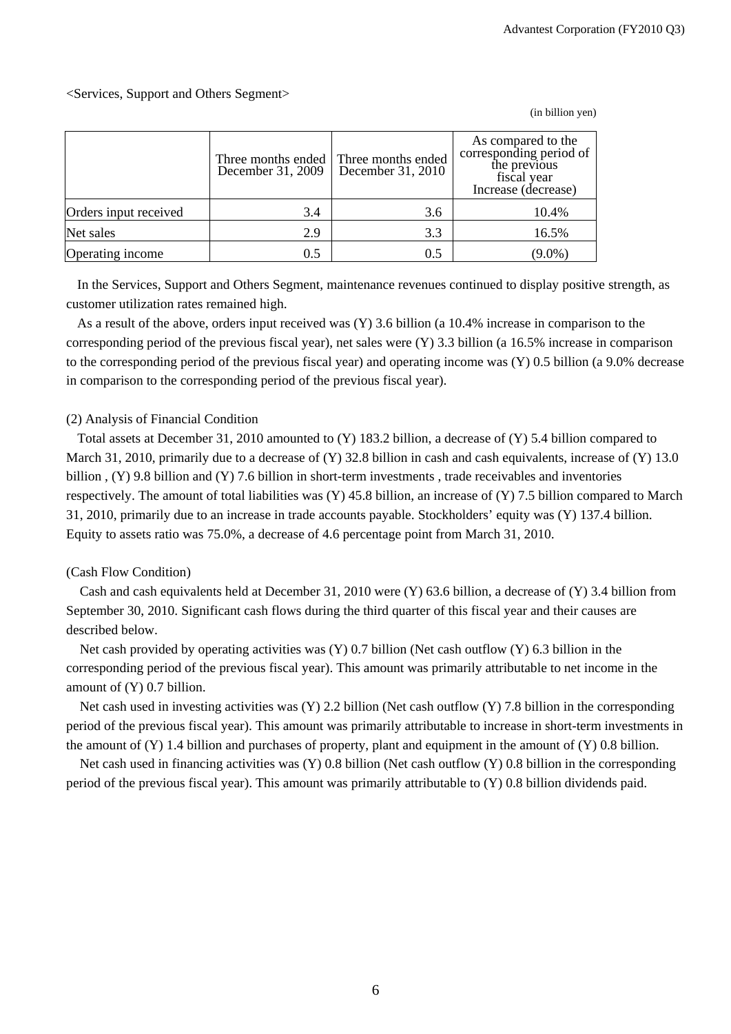#### <Services, Support and Others Segment>

Three months ended December 31, 2009 Three months ended December 31, 2010 As compared to the corresponding period of the previous fiscal year Increase (decrease) Orders input received  $\begin{array}{|c|c|c|c|c|c|c|c|c|} \hline 3.4 & 3.6 & 10.4\% \hline \end{array}$ Net sales 2.9 2.9 3.3 3.3 16.5% Operating income  $0.5$   $0.5$   $0.5$   $(9.0\%)$ 

In the Services, Support and Others Segment, maintenance revenues continued to display positive strength, as customer utilization rates remained high.

As a result of the above, orders input received was (Y) 3.6 billion (a 10.4% increase in comparison to the corresponding period of the previous fiscal year), net sales were (Y) 3.3 billion (a 16.5% increase in comparison to the corresponding period of the previous fiscal year) and operating income was (Y) 0.5 billion (a 9.0% decrease in comparison to the corresponding period of the previous fiscal year).

#### (2) Analysis of Financial Condition

Total assets at December 31, 2010 amounted to (Y) 183.2 billion, a decrease of (Y) 5.4 billion compared to March 31, 2010, primarily due to a decrease of  $(Y)$  32.8 billion in cash and cash equivalents, increase of  $(Y)$  13.0 billion , (Y) 9.8 billion and (Y) 7.6 billion in short-term investments , trade receivables and inventories respectively. The amount of total liabilities was (Y) 45.8 billion, an increase of (Y) 7.5 billion compared to March 31, 2010, primarily due to an increase in trade accounts payable. Stockholders' equity was (Y) 137.4 billion. Equity to assets ratio was 75.0%, a decrease of 4.6 percentage point from March 31, 2010.

#### (Cash Flow Condition)

Cash and cash equivalents held at December 31, 2010 were (Y) 63.6 billion, a decrease of (Y) 3.4 billion from September 30, 2010. Significant cash flows during the third quarter of this fiscal year and their causes are described below.

Net cash provided by operating activities was  $(Y)$  0.7 billion (Net cash outflow  $(Y)$  6.3 billion in the corresponding period of the previous fiscal year). This amount was primarily attributable to net income in the amount of (Y) 0.7 billion.

Net cash used in investing activities was  $(Y)$  2.2 billion (Net cash outflow  $(Y)$  7.8 billion in the corresponding period of the previous fiscal year). This amount was primarily attributable to increase in short-term investments in the amount of (Y) 1.4 billion and purchases of property, plant and equipment in the amount of (Y) 0.8 billion.

Net cash used in financing activities was (Y) 0.8 billion (Net cash outflow (Y) 0.8 billion in the corresponding period of the previous fiscal year). This amount was primarily attributable to (Y) 0.8 billion dividends paid.

(in billion yen)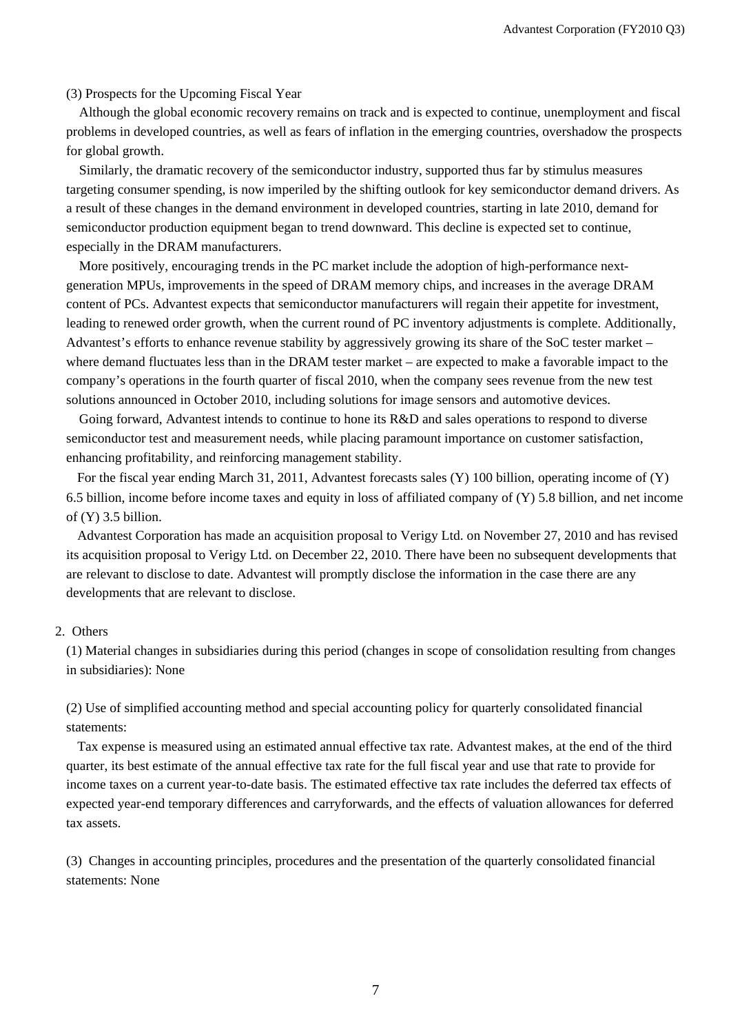#### (3) Prospects for the Upcoming Fiscal Year

Although the global economic recovery remains on track and is expected to continue, unemployment and fiscal problems in developed countries, as well as fears of inflation in the emerging countries, overshadow the prospects for global growth.

Similarly, the dramatic recovery of the semiconductor industry, supported thus far by stimulus measures targeting consumer spending, is now imperiled by the shifting outlook for key semiconductor demand drivers. As a result of these changes in the demand environment in developed countries, starting in late 2010, demand for semiconductor production equipment began to trend downward. This decline is expected set to continue, especially in the DRAM manufacturers.

More positively, encouraging trends in the PC market include the adoption of high-performance nextgeneration MPUs, improvements in the speed of DRAM memory chips, and increases in the average DRAM content of PCs. Advantest expects that semiconductor manufacturers will regain their appetite for investment, leading to renewed order growth, when the current round of PC inventory adjustments is complete. Additionally, Advantest's efforts to enhance revenue stability by aggressively growing its share of the SoC tester market – where demand fluctuates less than in the DRAM tester market – are expected to make a favorable impact to the company's operations in the fourth quarter of fiscal 2010, when the company sees revenue from the new test solutions announced in October 2010, including solutions for image sensors and automotive devices.

Going forward, Advantest intends to continue to hone its R&D and sales operations to respond to diverse semiconductor test and measurement needs, while placing paramount importance on customer satisfaction, enhancing profitability, and reinforcing management stability.

For the fiscal year ending March 31, 2011, Advantest forecasts sales (Y) 100 billion, operating income of (Y) 6.5 billion, income before income taxes and equity in loss of affiliated company of (Y) 5.8 billion, and net income of  $(Y)$  3.5 billion.

Advantest Corporation has made an acquisition proposal to Verigy Ltd. on November 27, 2010 and has revised its acquisition proposal to Verigy Ltd. on December 22, 2010. There have been no subsequent developments that are relevant to disclose to date. Advantest will promptly disclose the information in the case there are any developments that are relevant to disclose.

#### 2. Others

(1) Material changes in subsidiaries during this period (changes in scope of consolidation resulting from changes in subsidiaries): None

(2) Use of simplified accounting method and special accounting policy for quarterly consolidated financial statements:

Tax expense is measured using an estimated annual effective tax rate. Advantest makes, at the end of the third quarter, its best estimate of the annual effective tax rate for the full fiscal year and use that rate to provide for income taxes on a current year-to-date basis. The estimated effective tax rate includes the deferred tax effects of expected year-end temporary differences and carryforwards, and the effects of valuation allowances for deferred tax assets.

(3) Changes in accounting principles, procedures and the presentation of the quarterly consolidated financial statements: None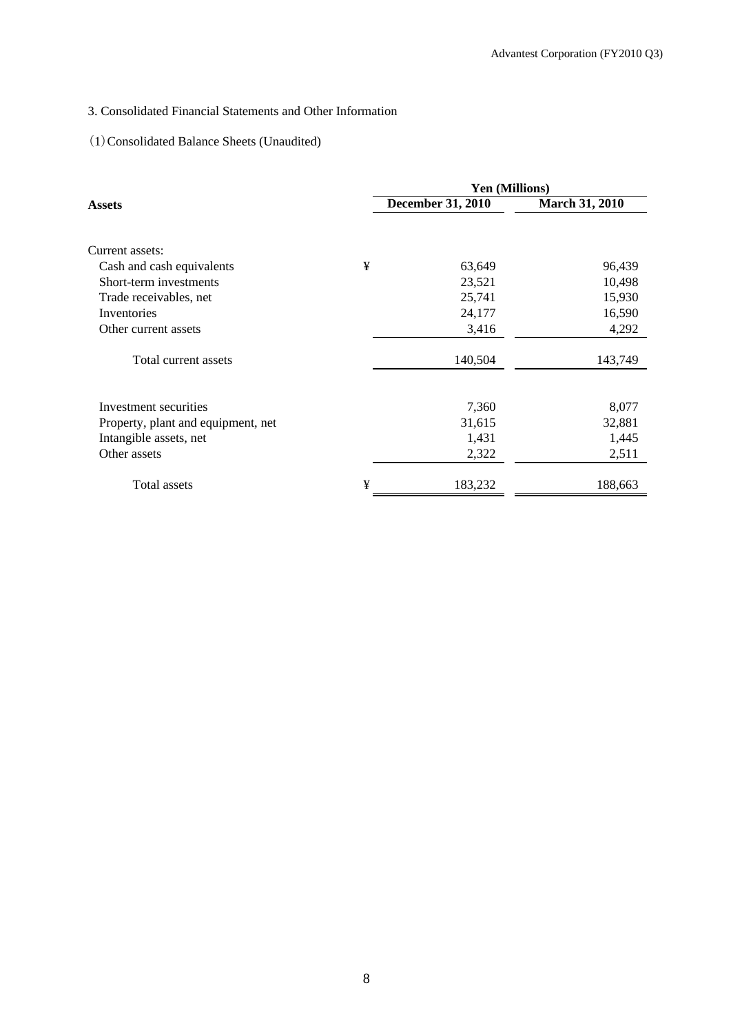## 3. Consolidated Financial Statements and Other Information

### (1)Consolidated Balance Sheets (Unaudited)

|                                    |   | <b>Yen (Millions)</b> |                       |
|------------------------------------|---|-----------------------|-----------------------|
| Assets                             |   | December 31, 2010     | <b>March 31, 2010</b> |
|                                    |   |                       |                       |
| Current assets:                    |   |                       |                       |
| Cash and cash equivalents          | ¥ | 63,649                | 96,439                |
| Short-term investments             |   | 23,521                | 10,498                |
| Trade receivables, net             |   | 25,741                | 15,930                |
| Inventories                        |   | 24,177                | 16,590                |
| Other current assets               |   | 3,416                 | 4,292                 |
| Total current assets               |   | 140,504               | 143,749               |
| Investment securities              |   | 7,360                 | 8,077                 |
| Property, plant and equipment, net |   | 31,615                | 32,881                |
| Intangible assets, net             |   | 1,431                 | 1,445                 |
| Other assets                       |   | 2,322                 | 2,511                 |
| Total assets                       | ¥ | 183,232               | 188,663               |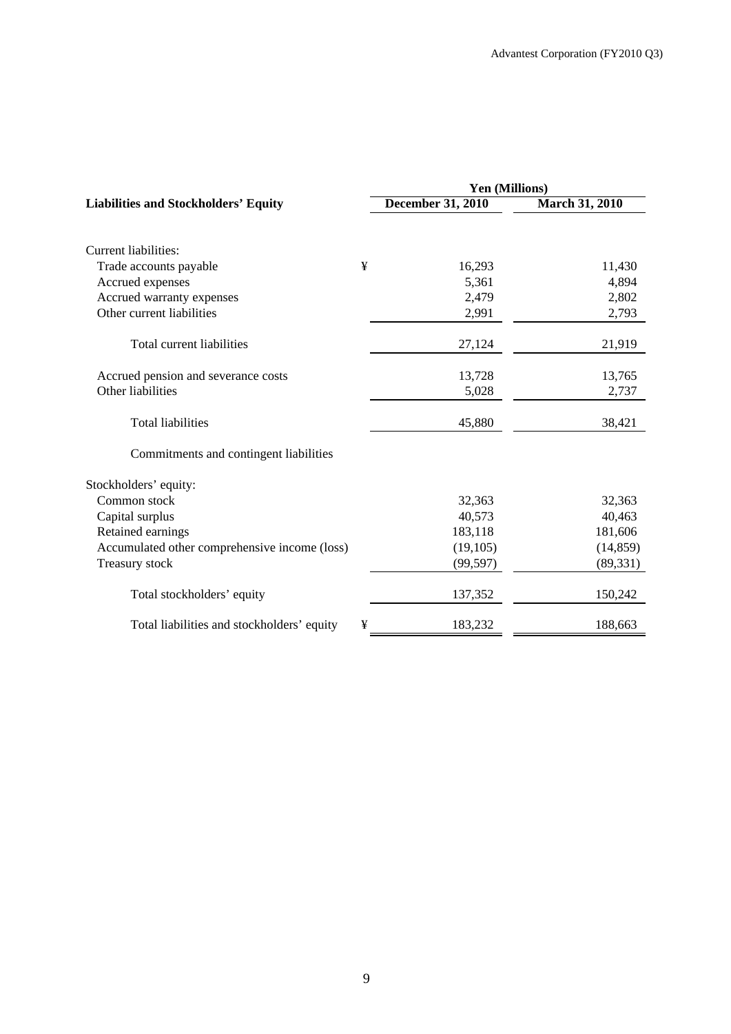|                                               |   | Yen (Millions)           |                       |  |  |  |
|-----------------------------------------------|---|--------------------------|-----------------------|--|--|--|
| <b>Liabilities and Stockholders' Equity</b>   |   | <b>December 31, 2010</b> | <b>March 31, 2010</b> |  |  |  |
|                                               |   |                          |                       |  |  |  |
| Current liabilities:                          |   |                          |                       |  |  |  |
| Trade accounts payable                        | ¥ | 16,293                   | 11,430                |  |  |  |
| Accrued expenses                              |   | 5,361                    | 4,894                 |  |  |  |
| Accrued warranty expenses                     |   | 2,479                    | 2,802                 |  |  |  |
| Other current liabilities                     |   | 2,991                    | 2,793                 |  |  |  |
| Total current liabilities                     |   | 27,124                   | 21,919                |  |  |  |
| Accrued pension and severance costs           |   | 13,728                   | 13,765                |  |  |  |
| Other liabilities                             |   | 5,028                    | 2,737                 |  |  |  |
| <b>Total liabilities</b>                      |   | 45,880                   | 38,421                |  |  |  |
| Commitments and contingent liabilities        |   |                          |                       |  |  |  |
| Stockholders' equity:                         |   |                          |                       |  |  |  |
| Common stock                                  |   | 32,363                   | 32,363                |  |  |  |
| Capital surplus                               |   | 40,573                   | 40,463                |  |  |  |
| Retained earnings                             |   | 183,118                  | 181,606               |  |  |  |
| Accumulated other comprehensive income (loss) |   | (19, 105)                | (14, 859)             |  |  |  |
| Treasury stock                                |   | (99, 597)                | (89, 331)             |  |  |  |
| Total stockholders' equity                    |   | 137,352                  | 150,242               |  |  |  |
| Total liabilities and stockholders' equity    | ¥ | 183,232                  | 188,663               |  |  |  |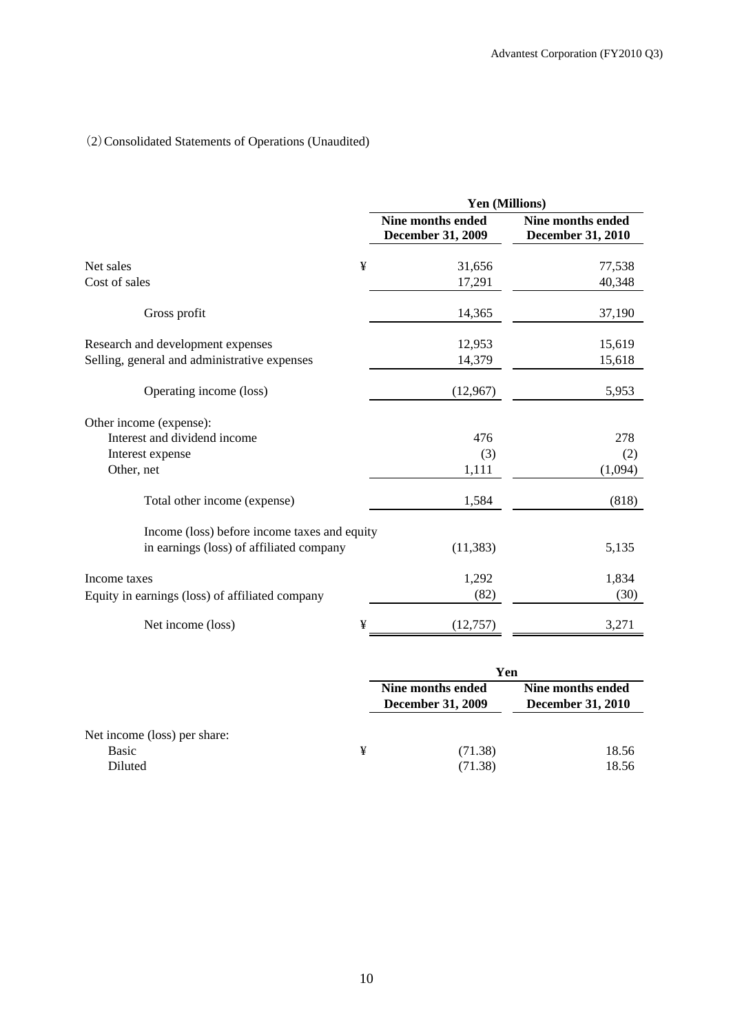## (2)Consolidated Statements of Operations (Unaudited)

|                                                 |   | Yen (Millions)                                |                                                      |  |
|-------------------------------------------------|---|-----------------------------------------------|------------------------------------------------------|--|
|                                                 |   | Nine months ended<br><b>December 31, 2009</b> | <b>Nine months ended</b><br><b>December 31, 2010</b> |  |
| Net sales                                       | ¥ | 31,656                                        | 77,538                                               |  |
| Cost of sales                                   |   | 17,291                                        | 40,348                                               |  |
| Gross profit                                    |   | 14,365                                        | 37,190                                               |  |
| Research and development expenses               |   | 12,953                                        | 15,619                                               |  |
| Selling, general and administrative expenses    |   | 14,379                                        | 15,618                                               |  |
| Operating income (loss)                         |   | (12,967)                                      | 5,953                                                |  |
| Other income (expense):                         |   |                                               |                                                      |  |
| Interest and dividend income                    |   | 476                                           | 278                                                  |  |
| Interest expense                                |   | (3)                                           | (2)                                                  |  |
| Other, net                                      |   | 1,111                                         | (1,094)                                              |  |
| Total other income (expense)                    |   | 1,584                                         | (818)                                                |  |
| Income (loss) before income taxes and equity    |   |                                               |                                                      |  |
| in earnings (loss) of affiliated company        |   | (11, 383)                                     | 5,135                                                |  |
| Income taxes                                    |   | 1,292                                         | 1,834                                                |  |
| Equity in earnings (loss) of affiliated company |   | (82)                                          | (30)                                                 |  |
| Net income (loss)                               | ¥ | (12, 757)                                     | 3,271                                                |  |

|                              |   | Yen                                           |                                               |  |  |
|------------------------------|---|-----------------------------------------------|-----------------------------------------------|--|--|
|                              |   | Nine months ended<br><b>December 31, 2009</b> | Nine months ended<br><b>December 31, 2010</b> |  |  |
| Net income (loss) per share: |   |                                               |                                               |  |  |
| Basic                        | ¥ | (71.38)                                       | 18.56                                         |  |  |
| Diluted                      |   | (71.38)                                       | 18.56                                         |  |  |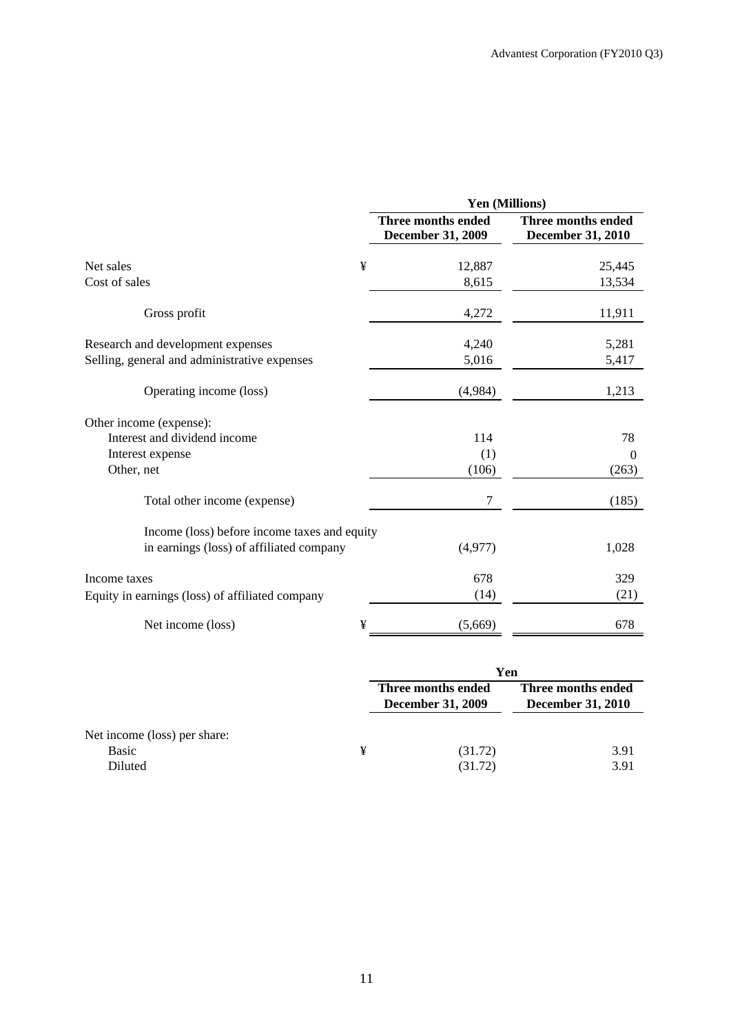|                                                 |   | Yen (Millions)                          |                                         |  |  |
|-------------------------------------------------|---|-----------------------------------------|-----------------------------------------|--|--|
|                                                 |   | Three months ended<br>December 31, 2009 | Three months ended<br>December 31, 2010 |  |  |
| Net sales                                       | ¥ | 12,887                                  | 25,445                                  |  |  |
| Cost of sales                                   |   | 8,615                                   | 13,534                                  |  |  |
| Gross profit                                    |   | 4,272                                   | 11,911                                  |  |  |
| Research and development expenses               |   | 4,240                                   | 5,281                                   |  |  |
| Selling, general and administrative expenses    |   | 5,016                                   | 5,417                                   |  |  |
| Operating income (loss)                         |   | (4,984)                                 | 1,213                                   |  |  |
| Other income (expense):                         |   |                                         |                                         |  |  |
| Interest and dividend income                    |   | 114                                     | 78                                      |  |  |
| Interest expense                                |   | (1)                                     | $\theta$                                |  |  |
| Other, net                                      |   | (106)                                   | (263)                                   |  |  |
| Total other income (expense)                    |   | 7                                       | (185)                                   |  |  |
| Income (loss) before income taxes and equity    |   |                                         |                                         |  |  |
| in earnings (loss) of affiliated company        |   | (4,977)                                 | 1,028                                   |  |  |
| Income taxes                                    |   | 678                                     | 329                                     |  |  |
| Equity in earnings (loss) of affiliated company |   | (14)                                    | (21)                                    |  |  |
| Net income (loss)                               | ¥ | (5,669)                                 | 678                                     |  |  |

|                              |   | Yen                                            |                                                |  |  |
|------------------------------|---|------------------------------------------------|------------------------------------------------|--|--|
|                              |   | Three months ended<br><b>December 31, 2009</b> | Three months ended<br><b>December 31, 2010</b> |  |  |
| Net income (loss) per share: |   |                                                |                                                |  |  |
| <b>Basic</b>                 | ¥ | (31.72)                                        | 3.91                                           |  |  |
| Diluted                      |   | (31.72)                                        | 3.91                                           |  |  |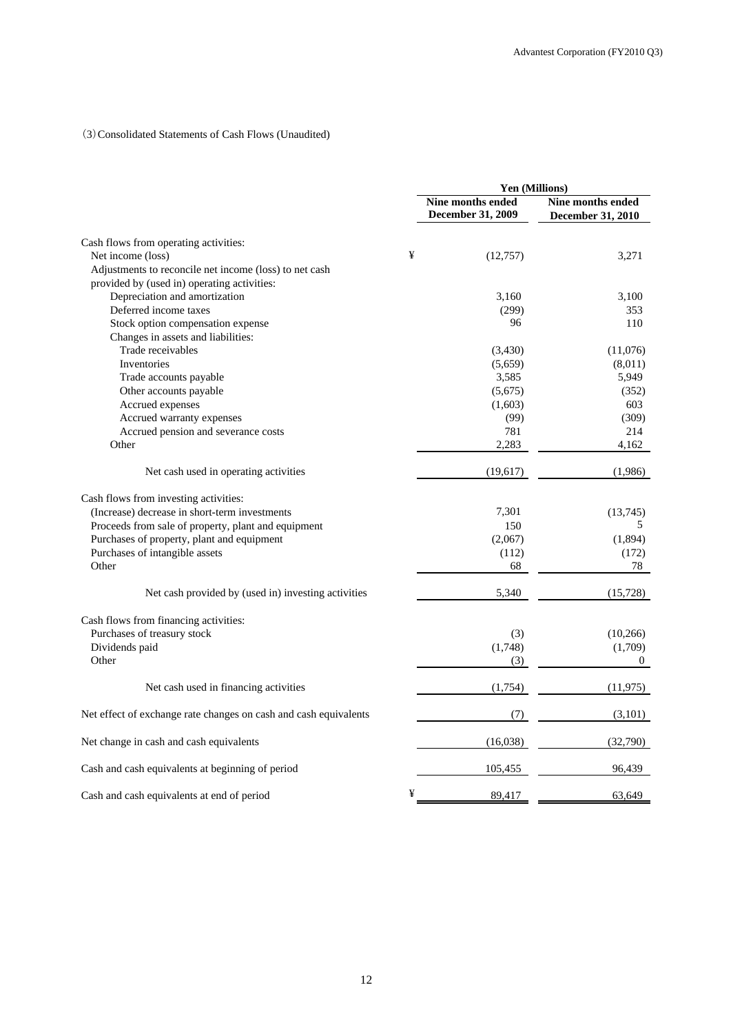#### (3)Consolidated Statements of Cash Flows (Unaudited)

|                                                                  |   | <b>Yen (Millions)</b>                         |                                               |  |
|------------------------------------------------------------------|---|-----------------------------------------------|-----------------------------------------------|--|
|                                                                  |   | Nine months ended<br><b>December 31, 2009</b> | Nine months ended<br><b>December 31, 2010</b> |  |
| Cash flows from operating activities:                            |   |                                               |                                               |  |
| Net income (loss)                                                | ¥ | (12,757)                                      | 3,271                                         |  |
| Adjustments to reconcile net income (loss) to net cash           |   |                                               |                                               |  |
| provided by (used in) operating activities:                      |   |                                               |                                               |  |
| Depreciation and amortization                                    |   | 3,160                                         | 3,100                                         |  |
| Deferred income taxes                                            |   | (299)                                         | 353                                           |  |
| Stock option compensation expense                                |   | 96                                            | 110                                           |  |
| Changes in assets and liabilities:                               |   |                                               |                                               |  |
| Trade receivables                                                |   | (3,430)                                       | (11,076)                                      |  |
| Inventories                                                      |   | (5,659)                                       | (8,011)                                       |  |
| Trade accounts payable                                           |   | 3,585                                         | 5,949                                         |  |
| Other accounts payable                                           |   | (5,675)                                       | (352)                                         |  |
| Accrued expenses                                                 |   | (1,603)                                       | 603                                           |  |
| Accrued warranty expenses                                        |   | (99)                                          | (309)                                         |  |
| Accrued pension and severance costs                              |   | 781                                           | 214                                           |  |
| Other                                                            |   | 2,283                                         | 4,162                                         |  |
| Net cash used in operating activities                            |   | (19,617)                                      | (1,986)                                       |  |
| Cash flows from investing activities:                            |   |                                               |                                               |  |
| (Increase) decrease in short-term investments                    |   | 7,301                                         | (13,745)                                      |  |
| Proceeds from sale of property, plant and equipment              |   | 150                                           | 5                                             |  |
| Purchases of property, plant and equipment                       |   | (2,067)                                       | (1,894)                                       |  |
| Purchases of intangible assets                                   |   | (112)                                         | (172)                                         |  |
| Other                                                            |   | 68                                            | 78                                            |  |
| Net cash provided by (used in) investing activities              |   | 5,340                                         | (15, 728)                                     |  |
| Cash flows from financing activities:                            |   |                                               |                                               |  |
| Purchases of treasury stock                                      |   | (3)                                           | (10, 266)                                     |  |
| Dividends paid                                                   |   | (1,748)                                       | (1,709)                                       |  |
| Other                                                            |   | (3)                                           | $\Omega$                                      |  |
| Net cash used in financing activities                            |   | (1,754)                                       | (11, 975)                                     |  |
| Net effect of exchange rate changes on cash and cash equivalents |   | (7)                                           | (3,101)                                       |  |
| Net change in cash and cash equivalents                          |   | (16,038)                                      | (32,790)                                      |  |
| Cash and cash equivalents at beginning of period                 |   | 105,455                                       | 96,439                                        |  |
| Cash and cash equivalents at end of period                       | ¥ | 89,417                                        | 63,649                                        |  |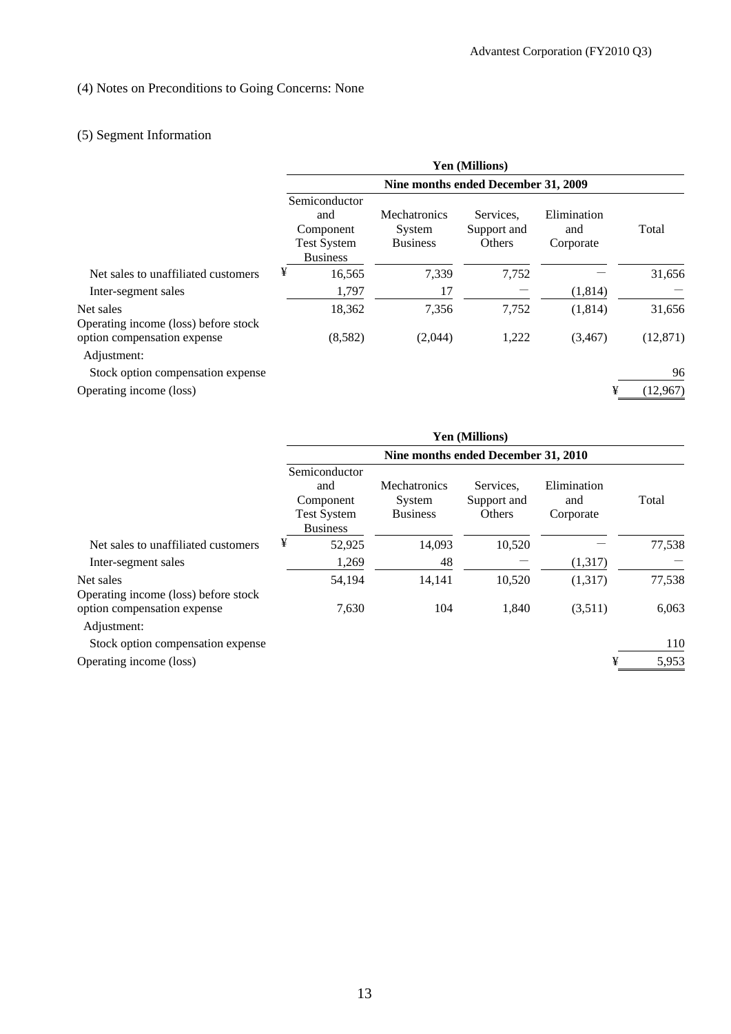## (4) Notes on Preconditions to Going Concerns: None

# (5) Segment Information

|                                                   | <b>Yen (Millions)</b>               |                                                                            |                                                  |                                    |                                 |           |  |
|---------------------------------------------------|-------------------------------------|----------------------------------------------------------------------------|--------------------------------------------------|------------------------------------|---------------------------------|-----------|--|
|                                                   | Nine months ended December 31, 2009 |                                                                            |                                                  |                                    |                                 |           |  |
|                                                   |                                     | Semiconductor<br>and<br>Component<br><b>Test System</b><br><b>Business</b> | <b>Mechatronics</b><br>System<br><b>Business</b> | Services.<br>Support and<br>Others | Elimination<br>and<br>Corporate | Total     |  |
| Net sales to unaffiliated customers               | ¥                                   | 16,565                                                                     | 7,339                                            | 7,752                              |                                 | 31,656    |  |
| Inter-segment sales                               |                                     | 1,797                                                                      | 17                                               |                                    | (1,814)                         |           |  |
| Net sales<br>Operating income (loss) before stock |                                     | 18,362                                                                     | 7,356                                            | 7,752                              | (1,814)                         | 31,656    |  |
| option compensation expense<br>Adjustment:        |                                     | (8,582)                                                                    | (2,044)                                          | 1,222                              | (3,467)                         | (12, 871) |  |
| Stock option compensation expense                 |                                     |                                                                            |                                                  |                                    |                                 | 96        |  |
| Operating income (loss)                           |                                     |                                                                            |                                                  |                                    | ¥                               | (12,967)  |  |

|                                                   | <b>Yen (Millions)</b>                                                      |        |                                                  |                                    |                                 |        |  |
|---------------------------------------------------|----------------------------------------------------------------------------|--------|--------------------------------------------------|------------------------------------|---------------------------------|--------|--|
|                                                   | Nine months ended December 31, 2010                                        |        |                                                  |                                    |                                 |        |  |
|                                                   | Semiconductor<br>and<br>Component<br><b>Test System</b><br><b>Business</b> |        | <b>Mechatronics</b><br>System<br><b>Business</b> | Services.<br>Support and<br>Others | Elimination<br>and<br>Corporate | Total  |  |
| Net sales to unaffiliated customers               | ¥                                                                          | 52,925 | 14,093                                           | 10,520                             |                                 | 77,538 |  |
| Inter-segment sales                               |                                                                            | 1,269  | 48                                               |                                    | (1,317)                         |        |  |
| Net sales<br>Operating income (loss) before stock |                                                                            | 54,194 | 14,141                                           | 10,520                             | (1,317)                         | 77,538 |  |
| option compensation expense<br>Adjustment:        |                                                                            | 7,630  | 104                                              | 1,840                              | (3,511)                         | 6,063  |  |
| Stock option compensation expense                 |                                                                            |        |                                                  |                                    |                                 | 110    |  |
| Operating income (loss)                           |                                                                            |        |                                                  |                                    | ¥                               | 5,953  |  |